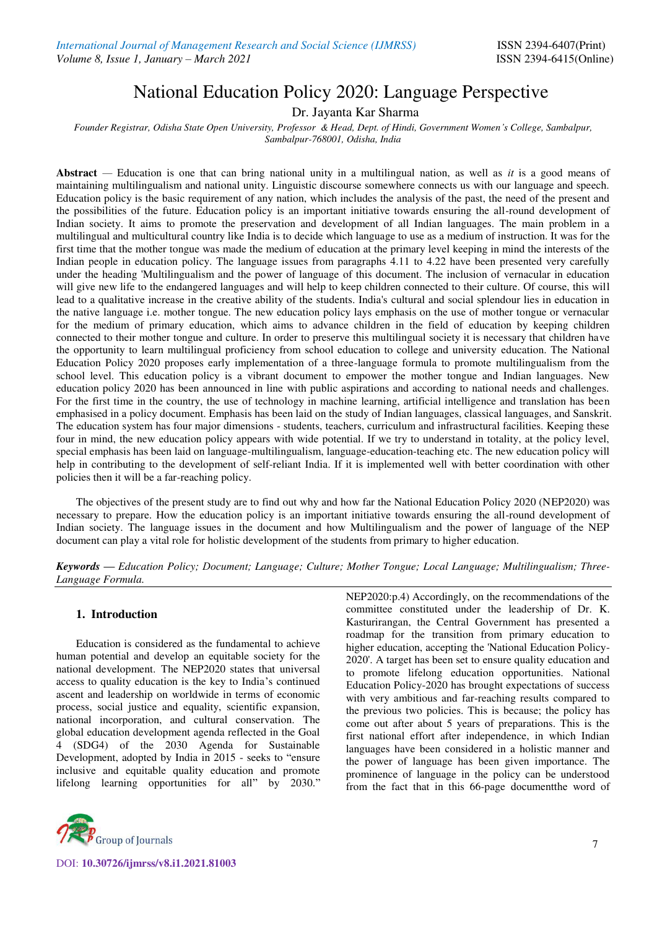# National Education Policy 2020: Language Perspective

Dr. Jayanta Kar Sharma

*Founder Registrar, Odisha State Open University, Professor & Head, Dept. of Hindi, Government Women's College, Sambalpur, Sambalpur-768001, Odisha, India* 

**Abstract** *—* Education is one that can bring national unity in a multilingual nation, as well as *it* is a good means of maintaining multilingualism and national unity. Linguistic discourse somewhere connects us with our language and speech. Education policy is the basic requirement of any nation, which includes the analysis of the past, the need of the present and the possibilities of the future. Education policy is an important initiative towards ensuring the all-round development of Indian society. It aims to promote the preservation and development of all Indian languages. The main problem in a multilingual and multicultural country like India is to decide which language to use as a medium of instruction. It was for the first time that the mother tongue was made the medium of education at the primary level keeping in mind the interests of the Indian people in education policy. The language issues from paragraphs 4.11 to 4.22 have been presented very carefully under the heading 'Multilingualism and the power of language of this document. The inclusion of vernacular in education will give new life to the endangered languages and will help to keep children connected to their culture. Of course, this will lead to a qualitative increase in the creative ability of the students. India's cultural and social splendour lies in education in the native language i.e. mother tongue. The new education policy lays emphasis on the use of mother tongue or vernacular for the medium of primary education, which aims to advance children in the field of education by keeping children connected to their mother tongue and culture. In order to preserve this multilingual society it is necessary that children have the opportunity to learn multilingual proficiency from school education to college and university education. The National Education Policy 2020 proposes early implementation of a three-language formula to promote multilingualism from the school level. This education policy is a vibrant document to empower the mother tongue and Indian languages. New education policy 2020 has been announced in line with public aspirations and according to national needs and challenges. For the first time in the country, the use of technology in machine learning, artificial intelligence and translation has been emphasised in a policy document. Emphasis has been laid on the study of Indian languages, classical languages, and Sanskrit. The education system has four major dimensions - students, teachers, curriculum and infrastructural facilities. Keeping these four in mind, the new education policy appears with wide potential. If we try to understand in totality, at the policy level, special emphasis has been laid on language-multilingualism, language-education-teaching etc. The new education policy will help in contributing to the development of self-reliant India. If it is implemented well with better coordination with other policies then it will be a far-reaching policy.

The objectives of the present study are to find out why and how far the National Education Policy 2020 (NEP2020) was necessary to prepare. How the education policy is an important initiative towards ensuring the all-round development of Indian society. The language issues in the document and how Multilingualism and the power of language of the NEP document can play a vital role for holistic development of the students from primary to higher education.

*Keywords — Education Policy; Document; Language; Culture; Mother Tongue; Local Language; Multilingualism; Three-Language Formula.* 

## **1. Introduction**

Education is considered as the fundamental to achieve human potential and develop an equitable society for the national development. The NEP2020 states that universal access to quality education is the key to India's continued ascent and leadership on worldwide in terms of economic process, social justice and equality, scientific expansion, national incorporation, and cultural conservation. The global education development agenda reflected in the Goal 4 (SDG4) of the 2030 Agenda for Sustainable Development, adopted by India in 2015 - seeks to "ensure inclusive and equitable quality education and promote lifelong learning opportunities for all" by 2030."



DOI: **10.30726/ijmrss/v8.i1.2021.81003**

NEP2020:p.4) Accordingly, on the recommendations of the committee constituted under the leadership of Dr. K. Kasturirangan, the Central Government has presented a roadmap for the transition from primary education to higher education, accepting the 'National Education Policy-2020'. A target has been set to ensure quality education and to promote lifelong education opportunities. National Education Policy-2020 has brought expectations of success with very ambitious and far-reaching results compared to the previous two policies. This is because; the policy has come out after about 5 years of preparations. This is the first national effort after independence, in which Indian languages have been considered in a holistic manner and the power of language has been given importance. The prominence of language in the policy can be understood from the fact that in this 66-page documentthe word of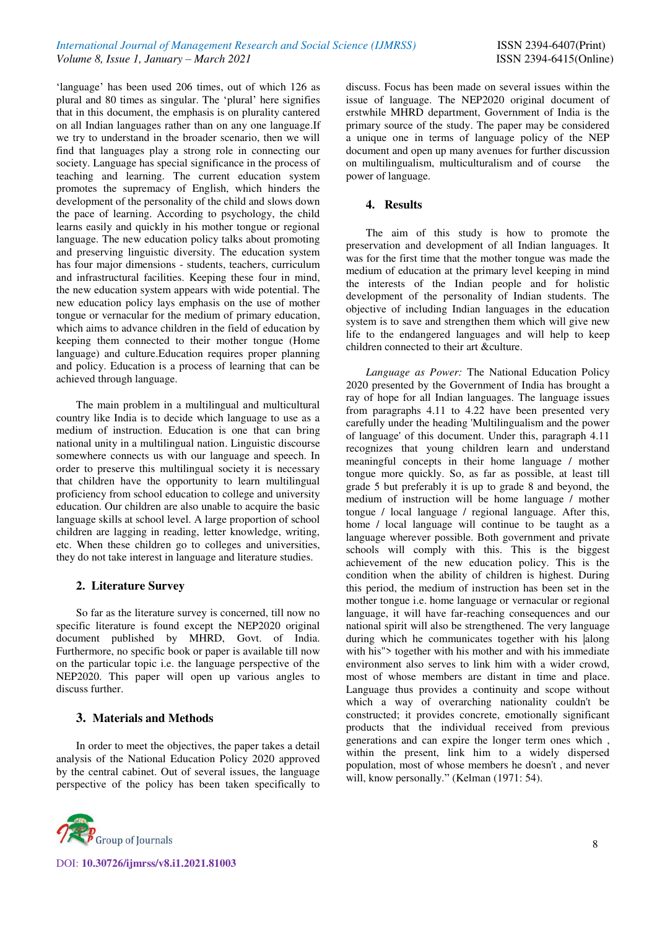'language' has been used 206 times, out of which 126 as plural and 80 times as singular. The 'plural' here signifies that in this document, the emphasis is on plurality cantered on all Indian languages rather than on any one language.If we try to understand in the broader scenario, then we will find that languages play a strong role in connecting our society. Language has special significance in the process of teaching and learning. The current education system promotes the supremacy of English, which hinders the development of the personality of the child and slows down the pace of learning. According to psychology, the child learns easily and quickly in his mother tongue or regional language. The new education policy talks about promoting and preserving linguistic diversity. The education system has four major dimensions - students, teachers, curriculum and infrastructural facilities. Keeping these four in mind, the new education system appears with wide potential. The new education policy lays emphasis on the use of mother tongue or vernacular for the medium of primary education, which aims to advance children in the field of education by keeping them connected to their mother tongue (Home language) and culture.Education requires proper planning and policy. Education is a process of learning that can be achieved through language.

The main problem in a multilingual and multicultural country like India is to decide which language to use as a medium of instruction. Education is one that can bring national unity in a multilingual nation. Linguistic discourse somewhere connects us with our language and speech. In order to preserve this multilingual society it is necessary that children have the opportunity to learn multilingual proficiency from school education to college and university education. Our children are also unable to acquire the basic language skills at school level. A large proportion of school children are lagging in reading, letter knowledge, writing, etc. When these children go to colleges and universities, they do not take interest in language and literature studies.

## **2. Literature Survey**

So far as the literature survey is concerned, till now no specific literature is found except the NEP2020 original document published by MHRD, Govt. of India. Furthermore, no specific book or paper is available till now on the particular topic i.e. the language perspective of the NEP2020. This paper will open up various angles to discuss further.

# **3. Materials and Methods**

In order to meet the objectives, the paper takes a detail analysis of the National Education Policy 2020 approved by the central cabinet. Out of several issues, the language perspective of the policy has been taken specifically to



discuss. Focus has been made on several issues within the issue of language. The NEP2020 original document of erstwhile MHRD department, Government of India is the primary source of the study. The paper may be considered a unique one in terms of language policy of the NEP document and open up many avenues for further discussion on multilingualism, multiculturalism and of course the power of language.

## **4. Results**

The aim of this study is how to promote the preservation and development of all Indian languages. It was for the first time that the mother tongue was made the medium of education at the primary level keeping in mind the interests of the Indian people and for holistic development of the personality of Indian students. The objective of including Indian languages in the education system is to save and strengthen them which will give new life to the endangered languages and will help to keep children connected to their art &culture.

*Language as Power:* The National Education Policy 2020 presented by the Government of India has brought a ray of hope for all Indian languages. The language issues from paragraphs 4.11 to 4.22 have been presented very carefully under the heading 'Multilingualism and the power of language' of this document. Under this, paragraph 4.11 recognizes that young children learn and understand meaningful concepts in their home language / mother tongue more quickly. So, as far as possible, at least till grade 5 but preferably it is up to grade 8 and beyond, the medium of instruction will be home language / mother tongue / local language / regional language. After this, home / local language will continue to be taught as a language wherever possible. Both government and private schools will comply with this. This is the biggest achievement of the new education policy. This is the condition when the ability of children is highest. During this period, the medium of instruction has been set in the mother tongue i.e. home language or vernacular or regional language, it will have far-reaching consequences and our national spirit will also be strengthened. The very language during which he communicates together with his |along with his" > together with his mother and with his immediate environment also serves to link him with a wider crowd, most of whose members are distant in time and place. Language thus provides a continuity and scope without which a way of overarching nationality couldn't be constructed; it provides concrete, emotionally significant products that the individual received from previous generations and can expire the longer term ones which , within the present, link him to a widely dispersed population, most of whose members he doesn't , and never will, know personally." (Kelman (1971: 54).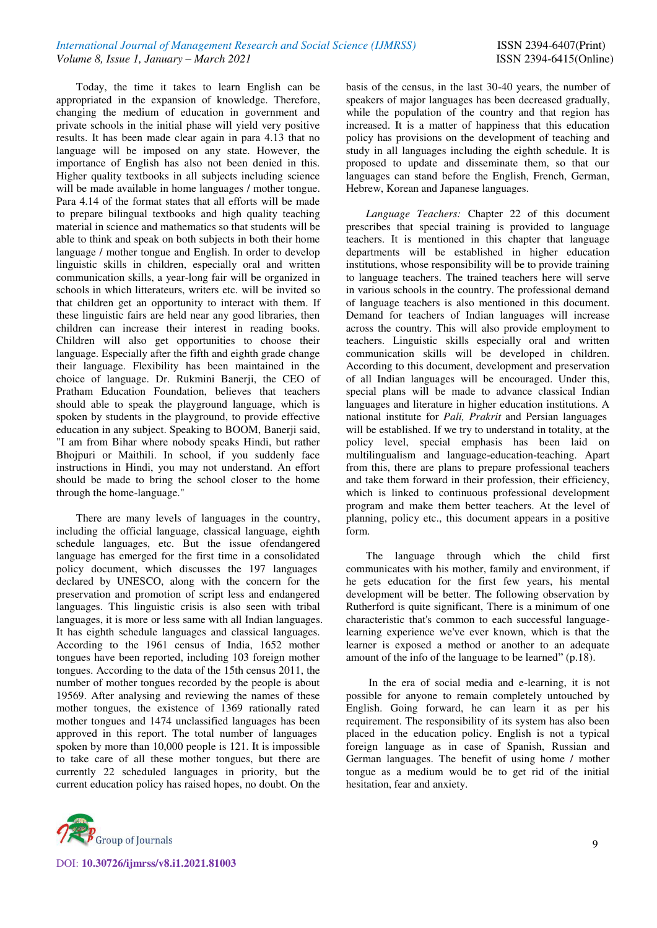Today, the time it takes to learn English can be appropriated in the expansion of knowledge. Therefore, changing the medium of education in government and private schools in the initial phase will yield very positive results. It has been made clear again in para 4.13 that no language will be imposed on any state. However, the importance of English has also not been denied in this. Higher quality textbooks in all subjects including science will be made available in home languages / mother tongue. Para 4.14 of the format states that all efforts will be made to prepare bilingual textbooks and high quality teaching material in science and mathematics so that students will be able to think and speak on both subjects in both their home language / mother tongue and English. In order to develop linguistic skills in children, especially oral and written communication skills, a year-long fair will be organized in schools in which litterateurs, writers etc. will be invited so that children get an opportunity to interact with them. If these linguistic fairs are held near any good libraries, then children can increase their interest in reading books. Children will also get opportunities to choose their language. Especially after the fifth and eighth grade change their language. Flexibility has been maintained in the choice of language. Dr. Rukmini Banerji, the CEO of Pratham Education Foundation, believes that teachers should able to speak the playground language, which is spoken by students in the playground, to provide effective education in any subject. Speaking to BOOM, Banerji said, "I am from Bihar where nobody speaks Hindi, but rather Bhojpuri or Maithili. In school, if you suddenly face instructions in Hindi, you may not understand. An effort should be made to bring the school closer to the home through the home-language."

There are many levels of languages in the country, including the official language, classical language, eighth schedule languages, etc. But the issue ofendangered language has emerged for the first time in a consolidated policy document, which discusses the 197 languages declared by UNESCO, along with the concern for the preservation and promotion of script less and endangered languages. This linguistic crisis is also seen with tribal languages, it is more or less same with all Indian languages. It has eighth schedule languages and classical languages. According to the 1961 census of India, 1652 mother tongues have been reported, including 103 foreign mother tongues. According to the data of the 15th census 2011, the number of mother tongues recorded by the people is about 19569. After analysing and reviewing the names of these mother tongues, the existence of 1369 rationally rated mother tongues and 1474 unclassified languages has been approved in this report. The total number of languages spoken by more than 10,000 people is 121. It is impossible to take care of all these mother tongues, but there are currently 22 scheduled languages in priority, but the current education policy has raised hopes, no doubt. On the



basis of the census, in the last 30-40 years, the number of speakers of major languages has been decreased gradually, while the population of the country and that region has increased. It is a matter of happiness that this education policy has provisions on the development of teaching and study in all languages including the eighth schedule. It is proposed to update and disseminate them, so that our languages can stand before the English, French, German, Hebrew, Korean and Japanese languages.

*Language Teachers:* Chapter 22 of this document prescribes that special training is provided to language teachers. It is mentioned in this chapter that language departments will be established in higher education institutions, whose responsibility will be to provide training to language teachers. The trained teachers here will serve in various schools in the country. The professional demand of language teachers is also mentioned in this document. Demand for teachers of Indian languages will increase across the country. This will also provide employment to teachers. Linguistic skills especially oral and written communication skills will be developed in children. According to this document, development and preservation of all Indian languages will be encouraged. Under this, special plans will be made to advance classical Indian languages and literature in higher education institutions. A national institute for *Pali, Prakrit* and Persian languages will be established. If we try to understand in totality, at the policy level, special emphasis has been laid on multilingualism and language-education-teaching. Apart from this, there are plans to prepare professional teachers and take them forward in their profession, their efficiency, which is linked to continuous professional development program and make them better teachers. At the level of planning, policy etc., this document appears in a positive form.

The language through which the child first communicates with his mother, family and environment, if he gets education for the first few years, his mental development will be better. The following observation by Rutherford is quite significant, There is a minimum of one characteristic that's common to each successful languagelearning experience we've ever known, which is that the learner is exposed a method or another to an adequate amount of the info of the language to be learned" (p.18).

 In the era of social media and e-learning, it is not possible for anyone to remain completely untouched by English. Going forward, he can learn it as per his requirement. The responsibility of its system has also been placed in the education policy. English is not a typical foreign language as in case of Spanish, Russian and German languages. The benefit of using home / mother tongue as a medium would be to get rid of the initial hesitation, fear and anxiety.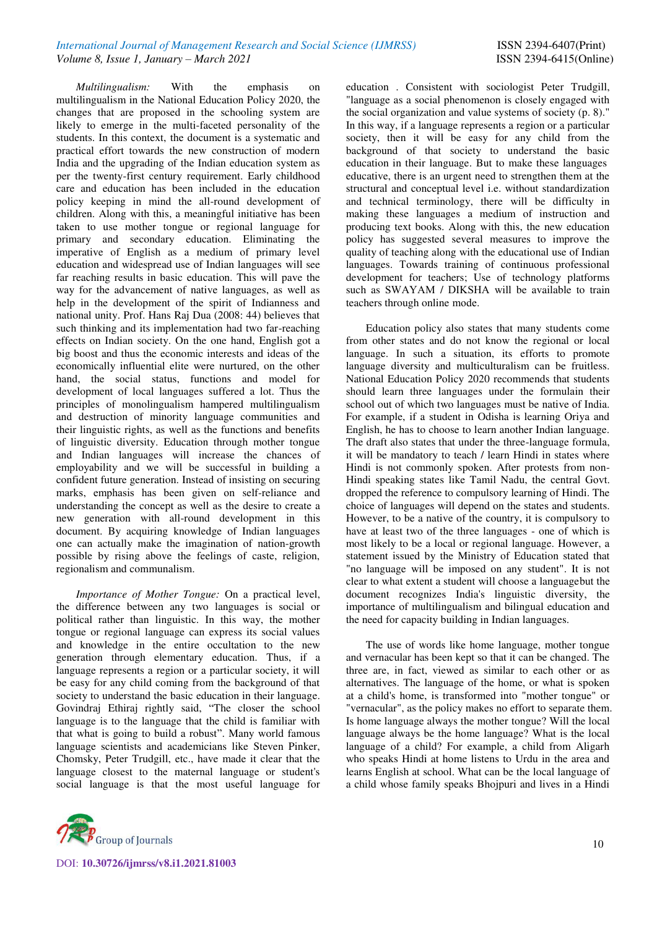*Multilingualism:* With the emphasis on multilingualism in the National Education Policy 2020, the changes that are proposed in the schooling system are likely to emerge in the multi-faceted personality of the students. In this context, the document is a systematic and practical effort towards the new construction of modern India and the upgrading of the Indian education system as per the twenty-first century requirement. Early childhood care and education has been included in the education policy keeping in mind the all-round development of children. Along with this, a meaningful initiative has been taken to use mother tongue or regional language for primary and secondary education. Eliminating the imperative of English as a medium of primary level education and widespread use of Indian languages will see far reaching results in basic education. This will pave the way for the advancement of native languages, as well as help in the development of the spirit of Indianness and national unity. Prof. Hans Raj Dua (2008: 44) believes that such thinking and its implementation had two far-reaching effects on Indian society. On the one hand, English got a big boost and thus the economic interests and ideas of the economically influential elite were nurtured, on the other hand, the social status, functions and model for development of local languages suffered a lot. Thus the principles of monolingualism hampered multilingualism and destruction of minority language communities and their linguistic rights, as well as the functions and benefits of linguistic diversity. Education through mother tongue and Indian languages will increase the chances of employability and we will be successful in building a confident future generation. Instead of insisting on securing marks, emphasis has been given on self-reliance and understanding the concept as well as the desire to create a new generation with all-round development in this document. By acquiring knowledge of Indian languages one can actually make the imagination of nation-growth possible by rising above the feelings of caste, religion, regionalism and communalism.

*Importance of Mother Tongue:* On a practical level, the difference between any two languages is social or political rather than linguistic. In this way, the mother tongue or regional language can express its social values and knowledge in the entire occultation to the new generation through elementary education. Thus, if a language represents a region or a particular society, it will be easy for any child coming from the background of that society to understand the basic education in their language. Govindraj Ethiraj rightly said, "The closer the school language is to the language that the child is familiar with that what is going to build a robust". Many world famous language scientists and academicians like Steven Pinker, Chomsky, Peter Trudgill, etc., have made it clear that the language closest to the maternal language or student's social language is that the most useful language for



education . Consistent with sociologist Peter Trudgill, "language as a social phenomenon is closely engaged with the social organization and value systems of society (p. 8)." In this way, if a language represents a region or a particular society, then it will be easy for any child from the background of that society to understand the basic education in their language. But to make these languages educative, there is an urgent need to strengthen them at the structural and conceptual level i.e. without standardization and technical terminology, there will be difficulty in making these languages a medium of instruction and producing text books. Along with this, the new education policy has suggested several measures to improve the quality of teaching along with the educational use of Indian languages. Towards training of continuous professional development for teachers; Use of technology platforms such as SWAYAM / DIKSHA will be available to train teachers through online mode.

Education policy also states that many students come from other states and do not know the regional or local language. In such a situation, its efforts to promote language diversity and multiculturalism can be fruitless. National Education Policy 2020 recommends that students should learn three languages under the formulain their school out of which two languages must be native of India. For example, if a student in Odisha is learning Oriya and English, he has to choose to learn another Indian language. The draft also states that under the three-language formula, it will be mandatory to teach / learn Hindi in states where Hindi is not commonly spoken. After protests from non-Hindi speaking states like Tamil Nadu, the central Govt. dropped the reference to compulsory learning of Hindi. The choice of languages will depend on the states and students. However, to be a native of the country, it is compulsory to have at least two of the three languages - one of which is most likely to be a local or regional language. However, a statement issued by the Ministry of Education stated that "no language will be imposed on any student". It is not clear to what extent a student will choose a languagebut the document recognizes India's linguistic diversity, the importance of multilingualism and bilingual education and the need for capacity building in Indian languages.

The use of words like home language, mother tongue and vernacular has been kept so that it can be changed. The three are, in fact, viewed as similar to each other or as alternatives. The language of the home, or what is spoken at a child's home, is transformed into "mother tongue" or "vernacular", as the policy makes no effort to separate them. Is home language always the mother tongue? Will the local language always be the home language? What is the local language of a child? For example, a child from Aligarh who speaks Hindi at home listens to Urdu in the area and learns English at school. What can be the local language of a child whose family speaks Bhojpuri and lives in a Hindi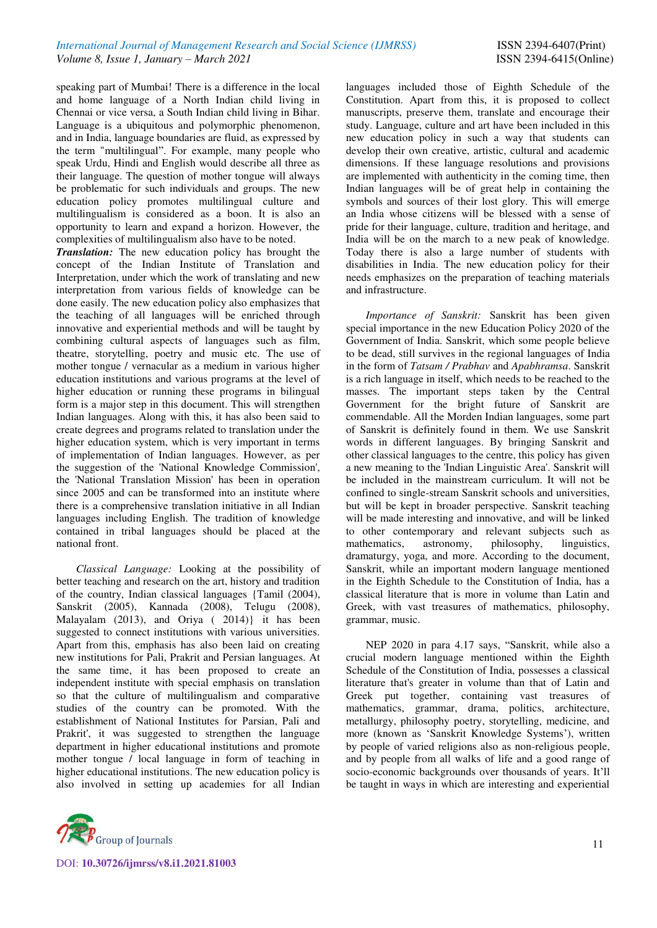speaking part of Mumbai! There is a difference in the local and home language of a North Indian child living in Chennai or vice versa, a South Indian child living in Bihar. Language is a ubiquitous and polymorphic phenomenon, and in India, language boundaries are fluid, as expressed by the term "multilingual". For example, many people who speak Urdu, Hindi and English would describe all three as their language. The question of mother tongue will always be problematic for such individuals and groups. The new education policy promotes multilingual culture and multilingualism is considered as a boon. It is also an opportunity to learn and expand a horizon. However, the complexities of multilingualism also have to be noted.

*Translation:* The new education policy has brought the concept of the Indian Institute of Translation and Interpretation, under which the work of translating and new interpretation from various fields of knowledge can be done easily. The new education policy also emphasizes that the teaching of all languages will be enriched through innovative and experiential methods and will be taught by combining cultural aspects of languages such as film, theatre, storytelling, poetry and music etc. The use of mother tongue / vernacular as a medium in various higher education institutions and various programs at the level of higher education or running these programs in bilingual form is a major step in this document. This will strengthen Indian languages. Along with this, it has also been said to create degrees and programs related to translation under the higher education system, which is very important in terms of implementation of Indian languages. However, as per the suggestion of the 'National Knowledge Commission', the 'National Translation Mission' has been in operation since 2005 and can be transformed into an institute where there is a comprehensive translation initiative in all Indian languages including English. The tradition of knowledge contained in tribal languages should be placed at the national front.

*Classical Language:* Looking at the possibility of better teaching and research on the art, history and tradition of the country, Indian classical languages {Tamil (2004), Sanskrit (2005), Kannada (2008), Telugu (2008), Malayalam (2013), and Oriya ( 2014)} it has been suggested to connect institutions with various universities. Apart from this, emphasis has also been laid on creating new institutions for Pali, Prakrit and Persian languages. At the same time, it has been proposed to create an independent institute with special emphasis on translation so that the culture of multilingualism and comparative studies of the country can be promoted. With the establishment of National Institutes for Parsian, Pali and Prakrit', it was suggested to strengthen the language department in higher educational institutions and promote mother tongue / local language in form of teaching in higher educational institutions. The new education policy is also involved in setting up academies for all Indian



languages included those of Eighth Schedule of the Constitution. Apart from this, it is proposed to collect manuscripts, preserve them, translate and encourage their study. Language, culture and art have been included in this new education policy in such a way that students can develop their own creative, artistic, cultural and academic dimensions. If these language resolutions and provisions are implemented with authenticity in the coming time, then Indian languages will be of great help in containing the symbols and sources of their lost glory. This will emerge an India whose citizens will be blessed with a sense of pride for their language, culture, tradition and heritage, and India will be on the march to a new peak of knowledge. Today there is also a large number of students with disabilities in India. The new education policy for their needs emphasizes on the preparation of teaching materials and infrastructure.

*Importance of Sanskrit:* Sanskrit has been given special importance in the new Education Policy 2020 of the Government of India. Sanskrit, which some people believe to be dead, still survives in the regional languages of India in the form of *Tatsam / Prabhav* and *Apabhramsa*. Sanskrit is a rich language in itself, which needs to be reached to the masses. The important steps taken by the Central Government for the bright future of Sanskrit are commendable. All the Morden Indian languages, some part of Sanskrit is definitely found in them. We use Sanskrit words in different languages. By bringing Sanskrit and other classical languages to the centre, this policy has given a new meaning to the 'Indian Linguistic Area'. Sanskrit will be included in the mainstream curriculum. It will not be confined to single-stream Sanskrit schools and universities, but will be kept in broader perspective. Sanskrit teaching will be made interesting and innovative, and will be linked to other contemporary and relevant subjects such as mathematics, astronomy, philosophy, linguistics, dramaturgy, yoga, and more. According to the document, Sanskrit, while an important modern language mentioned in the Eighth Schedule to the Constitution of India, has a classical literature that is more in volume than Latin and Greek, with vast treasures of mathematics, philosophy, grammar, music.

NEP 2020 in para 4.17 says, "Sanskrit, while also a crucial modern language mentioned within the Eighth Schedule of the Constitution of India, possesses a classical literature that's greater in volume than that of Latin and Greek put together, containing vast treasures of mathematics, grammar, drama, politics, architecture, metallurgy, philosophy poetry, storytelling, medicine, and more (known as 'Sanskrit Knowledge Systems'), written by people of varied religions also as non-religious people, and by people from all walks of life and a good range of socio-economic backgrounds over thousands of years. It'll be taught in ways in which are interesting and experiential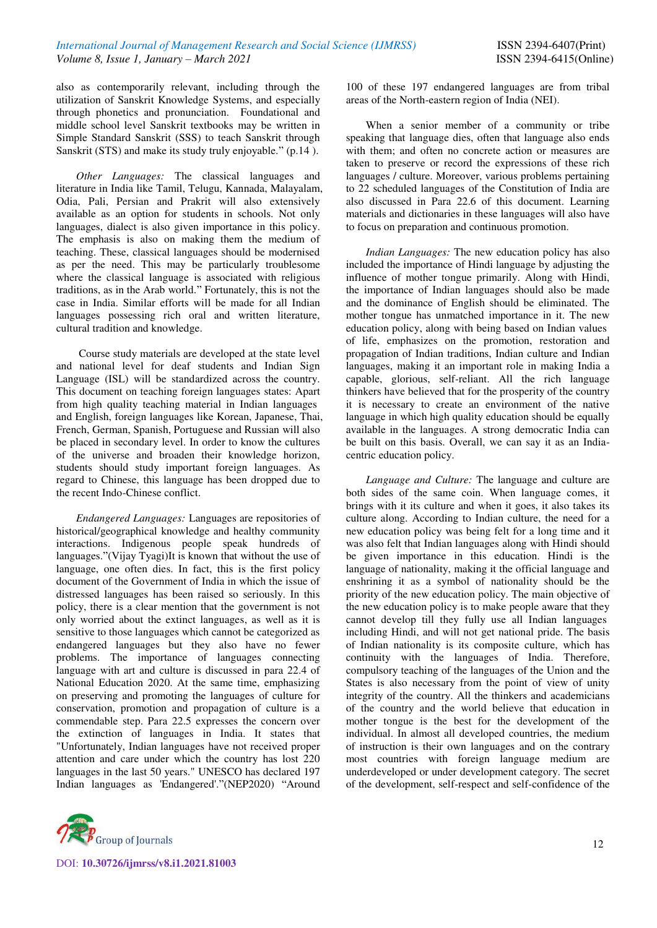also as contemporarily relevant, including through the utilization of Sanskrit Knowledge Systems, and especially through phonetics and pronunciation. Foundational and middle school level Sanskrit textbooks may be written in Simple Standard Sanskrit (SSS) to teach Sanskrit through Sanskrit (STS) and make its study truly enjoyable." (p.14).

*Other Languages:* The classical languages and literature in India like Tamil, Telugu, Kannada, Malayalam, Odia, Pali, Persian and Prakrit will also extensively available as an option for students in schools. Not only languages, dialect is also given importance in this policy. The emphasis is also on making them the medium of teaching. These, classical languages should be modernised as per the need. This may be particularly troublesome where the classical language is associated with religious traditions, as in the Arab world." Fortunately, this is not the case in India. Similar efforts will be made for all Indian languages possessing rich oral and written literature, cultural tradition and knowledge.

 Course study materials are developed at the state level and national level for deaf students and Indian Sign Language (ISL) will be standardized across the country. This document on teaching foreign languages states: Apart from high quality teaching material in Indian languages and English, foreign languages like Korean, Japanese, Thai, French, German, Spanish, Portuguese and Russian will also be placed in secondary level. In order to know the cultures of the universe and broaden their knowledge horizon, students should study important foreign languages. As regard to Chinese, this language has been dropped due to the recent Indo-Chinese conflict.

*Endangered Languages:* Languages are repositories of historical/geographical knowledge and healthy community interactions. Indigenous people speak hundreds of languages."(Vijay Tyagi)It is known that without the use of language, one often dies. In fact, this is the first policy document of the Government of India in which the issue of distressed languages has been raised so seriously. In this policy, there is a clear mention that the government is not only worried about the extinct languages, as well as it is sensitive to those languages which cannot be categorized as endangered languages but they also have no fewer problems. The importance of languages connecting language with art and culture is discussed in para 22.4 of National Education 2020. At the same time, emphasizing on preserving and promoting the languages of culture for conservation, promotion and propagation of culture is a commendable step. Para 22.5 expresses the concern over the extinction of languages in India. It states that "Unfortunately, Indian languages have not received proper attention and care under which the country has lost 220 languages in the last 50 years." UNESCO has declared 197 Indian languages as 'Endangered'."(NEP2020) "Around



100 of these 197 endangered languages are from tribal areas of the North-eastern region of India (NEI).

When a senior member of a community or tribe speaking that language dies, often that language also ends with them; and often no concrete action or measures are taken to preserve or record the expressions of these rich languages / culture. Moreover, various problems pertaining to 22 scheduled languages of the Constitution of India are also discussed in Para 22.6 of this document. Learning materials and dictionaries in these languages will also have to focus on preparation and continuous promotion.

*Indian Languages:* The new education policy has also included the importance of Hindi language by adjusting the influence of mother tongue primarily. Along with Hindi, the importance of Indian languages should also be made and the dominance of English should be eliminated. The mother tongue has unmatched importance in it. The new education policy, along with being based on Indian values of life, emphasizes on the promotion, restoration and propagation of Indian traditions, Indian culture and Indian languages, making it an important role in making India a capable, glorious, self-reliant. All the rich language thinkers have believed that for the prosperity of the country it is necessary to create an environment of the native language in which high quality education should be equally available in the languages. A strong democratic India can be built on this basis. Overall, we can say it as an Indiacentric education policy.

*Language and Culture:* The language and culture are both sides of the same coin. When language comes, it brings with it its culture and when it goes, it also takes its culture along. According to Indian culture, the need for a new education policy was being felt for a long time and it was also felt that Indian languages along with Hindi should be given importance in this education. Hindi is the language of nationality, making it the official language and enshrining it as a symbol of nationality should be the priority of the new education policy. The main objective of the new education policy is to make people aware that they cannot develop till they fully use all Indian languages including Hindi, and will not get national pride. The basis of Indian nationality is its composite culture, which has continuity with the languages of India. Therefore, compulsory teaching of the languages of the Union and the States is also necessary from the point of view of unity integrity of the country. All the thinkers and academicians of the country and the world believe that education in mother tongue is the best for the development of the individual. In almost all developed countries, the medium of instruction is their own languages and on the contrary most countries with foreign language medium are underdeveloped or under development category. The secret of the development, self-respect and self-confidence of the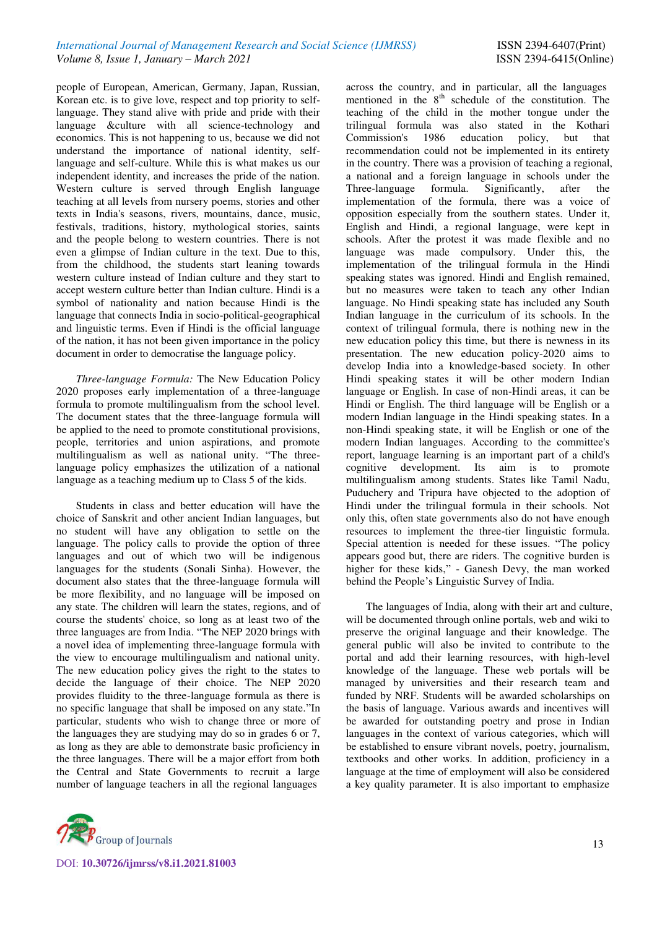people of European, American, Germany, Japan, Russian, Korean etc. is to give love, respect and top priority to selflanguage. They stand alive with pride and pride with their language &culture with all science-technology and economics. This is not happening to us, because we did not understand the importance of national identity, selflanguage and self-culture. While this is what makes us our independent identity, and increases the pride of the nation. Western culture is served through English language teaching at all levels from nursery poems, stories and other texts in India's seasons, rivers, mountains, dance, music, festivals, traditions, history, mythological stories, saints and the people belong to western countries. There is not even a glimpse of Indian culture in the text. Due to this, from the childhood, the students start leaning towards western culture instead of Indian culture and they start to accept western culture better than Indian culture. Hindi is a symbol of nationality and nation because Hindi is the language that connects India in socio-political-geographical and linguistic terms. Even if Hindi is the official language of the nation, it has not been given importance in the policy document in order to democratise the language policy.

*Three-language Formula:* The New Education Policy 2020 proposes early implementation of a three-language formula to promote multilingualism from the school level. The document states that the three-language formula will be applied to the need to promote constitutional provisions, people, territories and union aspirations, and promote multilingualism as well as national unity. "The threelanguage policy emphasizes the utilization of a national language as a teaching medium up to Class 5 of the kids.

Students in class and better education will have the choice of Sanskrit and other ancient Indian languages, but no student will have any obligation to settle on the language. The policy calls to provide the option of three languages and out of which two will be indigenous languages for the students (Sonali Sinha). However, the document also states that the three-language formula will be more flexibility, and no language will be imposed on any state. The children will learn the states, regions, and of course the students' choice, so long as at least two of the three languages are from India. "The NEP 2020 brings with a novel idea of implementing three-language formula with the view to encourage multilingualism and national unity. The new education policy gives the right to the states to decide the language of their choice. The NEP 2020 provides fluidity to the three-language formula as there is no specific language that shall be imposed on any state."In particular, students who wish to change three or more of the languages they are studying may do so in grades 6 or 7, as long as they are able to demonstrate basic proficiency in the three languages. There will be a major effort from both the Central and State Governments to recruit a large number of language teachers in all the regional languages



across the country, and in particular, all the languages mentioned in the  $8<sup>th</sup>$  schedule of the constitution. The teaching of the child in the mother tongue under the trilingual formula was also stated in the Kothari 1986 education policy, but that recommendation could not be implemented in its entirety in the country. There was a provision of teaching a regional, a national and a foreign language in schools under the Three-language formula. Significantly, after the implementation of the formula, there was a voice of opposition especially from the southern states. Under it, English and Hindi, a regional language, were kept in schools. After the protest it was made flexible and no language was made compulsory. Under this, the implementation of the trilingual formula in the Hindi speaking states was ignored. Hindi and English remained, but no measures were taken to teach any other Indian language. No Hindi speaking state has included any South Indian language in the curriculum of its schools. In the context of trilingual formula, there is nothing new in the new education policy this time, but there is newness in its presentation. The new education policy-2020 aims to develop India into a knowledge-based society. In other Hindi speaking states it will be other modern Indian language or English. In case of non-Hindi areas, it can be Hindi or English. The third language will be English or a modern Indian language in the Hindi speaking states. In a non-Hindi speaking state, it will be English or one of the modern Indian languages. According to the committee's report, language learning is an important part of a child's cognitive development. Its aim is to promote multilingualism among students. States like Tamil Nadu, Puduchery and Tripura have objected to the adoption of Hindi under the trilingual formula in their schools. Not only this, often state governments also do not have enough resources to implement the three-tier linguistic formula. Special attention is needed for these issues. "The policy appears good but, there are riders. The cognitive burden is higher for these kids," - Ganesh Devy, the man worked behind the People's Linguistic Survey of India.

The languages of India, along with their art and culture, will be documented through online portals, web and wiki to preserve the original language and their knowledge. The general public will also be invited to contribute to the portal and add their learning resources, with high-level knowledge of the language. These web portals will be managed by universities and their research team and funded by NRF. Students will be awarded scholarships on the basis of language. Various awards and incentives will be awarded for outstanding poetry and prose in Indian languages in the context of various categories, which will be established to ensure vibrant novels, poetry, journalism, textbooks and other works. In addition, proficiency in a language at the time of employment will also be considered a key quality parameter. It is also important to emphasize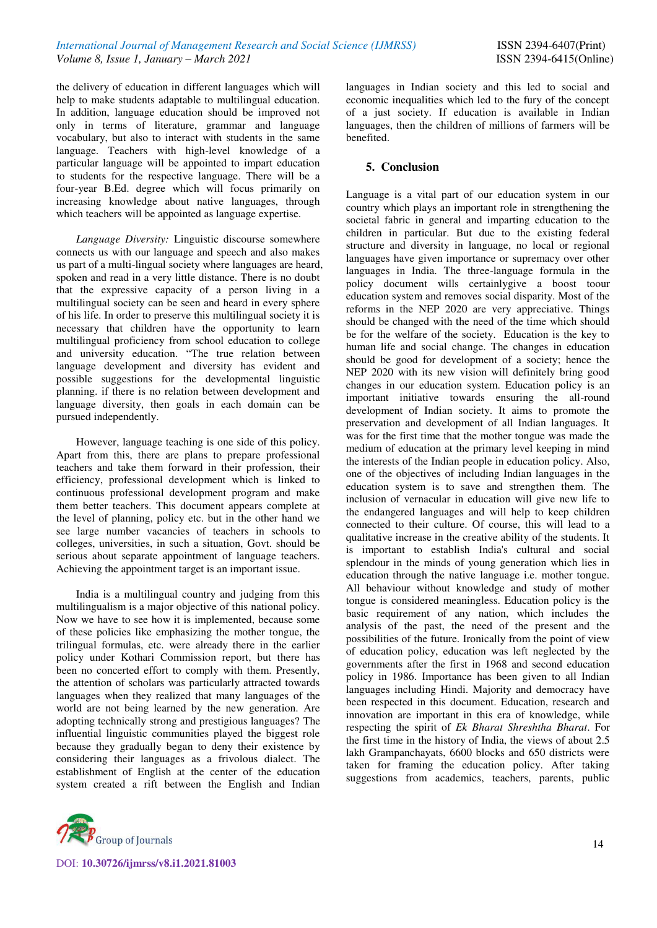the delivery of education in different languages which will help to make students adaptable to multilingual education. In addition, language education should be improved not only in terms of literature, grammar and language vocabulary, but also to interact with students in the same language. Teachers with high-level knowledge of a particular language will be appointed to impart education to students for the respective language. There will be a four-year B.Ed. degree which will focus primarily on increasing knowledge about native languages, through which teachers will be appointed as language expertise.

*Language Diversity:* Linguistic discourse somewhere connects us with our language and speech and also makes us part of a multi-lingual society where languages are heard, spoken and read in a very little distance. There is no doubt that the expressive capacity of a person living in a multilingual society can be seen and heard in every sphere of his life. In order to preserve this multilingual society it is necessary that children have the opportunity to learn multilingual proficiency from school education to college and university education. "The true relation between language development and diversity has evident and possible suggestions for the developmental linguistic planning. if there is no relation between development and language diversity, then goals in each domain can be pursued independently.

However, language teaching is one side of this policy. Apart from this, there are plans to prepare professional teachers and take them forward in their profession, their efficiency, professional development which is linked to continuous professional development program and make them better teachers. This document appears complete at the level of planning, policy etc. but in the other hand we see large number vacancies of teachers in schools to colleges, universities, in such a situation, Govt. should be serious about separate appointment of language teachers. Achieving the appointment target is an important issue.

India is a multilingual country and judging from this multilingualism is a major objective of this national policy. Now we have to see how it is implemented, because some of these policies like emphasizing the mother tongue, the trilingual formulas, etc. were already there in the earlier policy under Kothari Commission report, but there has been no concerted effort to comply with them. Presently, the attention of scholars was particularly attracted towards languages when they realized that many languages of the world are not being learned by the new generation. Are adopting technically strong and prestigious languages? The influential linguistic communities played the biggest role because they gradually began to deny their existence by considering their languages as a frivolous dialect. The establishment of English at the center of the education system created a rift between the English and Indian



languages in Indian society and this led to social and economic inequalities which led to the fury of the concept of a just society. If education is available in Indian languages, then the children of millions of farmers will be benefited.

# **5. Conclusion**

Language is a vital part of our education system in our country which plays an important role in strengthening the societal fabric in general and imparting education to the children in particular. But due to the existing federal structure and diversity in language, no local or regional languages have given importance or supremacy over other languages in India. The three-language formula in the policy document wills certainlygive a boost toour education system and removes social disparity. Most of the reforms in the NEP 2020 are very appreciative. Things should be changed with the need of the time which should be for the welfare of the society. Education is the key to human life and social change. The changes in education should be good for development of a society; hence the NEP 2020 with its new vision will definitely bring good changes in our education system. Education policy is an important initiative towards ensuring the all-round development of Indian society. It aims to promote the preservation and development of all Indian languages. It was for the first time that the mother tongue was made the medium of education at the primary level keeping in mind the interests of the Indian people in education policy. Also, one of the objectives of including Indian languages in the education system is to save and strengthen them. The inclusion of vernacular in education will give new life to the endangered languages and will help to keep children connected to their culture. Of course, this will lead to a qualitative increase in the creative ability of the students. It is important to establish India's cultural and social splendour in the minds of young generation which lies in education through the native language i.e. mother tongue. All behaviour without knowledge and study of mother tongue is considered meaningless. Education policy is the basic requirement of any nation, which includes the analysis of the past, the need of the present and the possibilities of the future. Ironically from the point of view of education policy, education was left neglected by the governments after the first in 1968 and second education policy in 1986. Importance has been given to all Indian languages including Hindi. Majority and democracy have been respected in this document. Education, research and innovation are important in this era of knowledge, while respecting the spirit of *Ek Bharat Shreshtha Bharat*. For the first time in the history of India, the views of about 2.5 lakh Grampanchayats, 6600 blocks and 650 districts were taken for framing the education policy. After taking suggestions from academics, teachers, parents, public